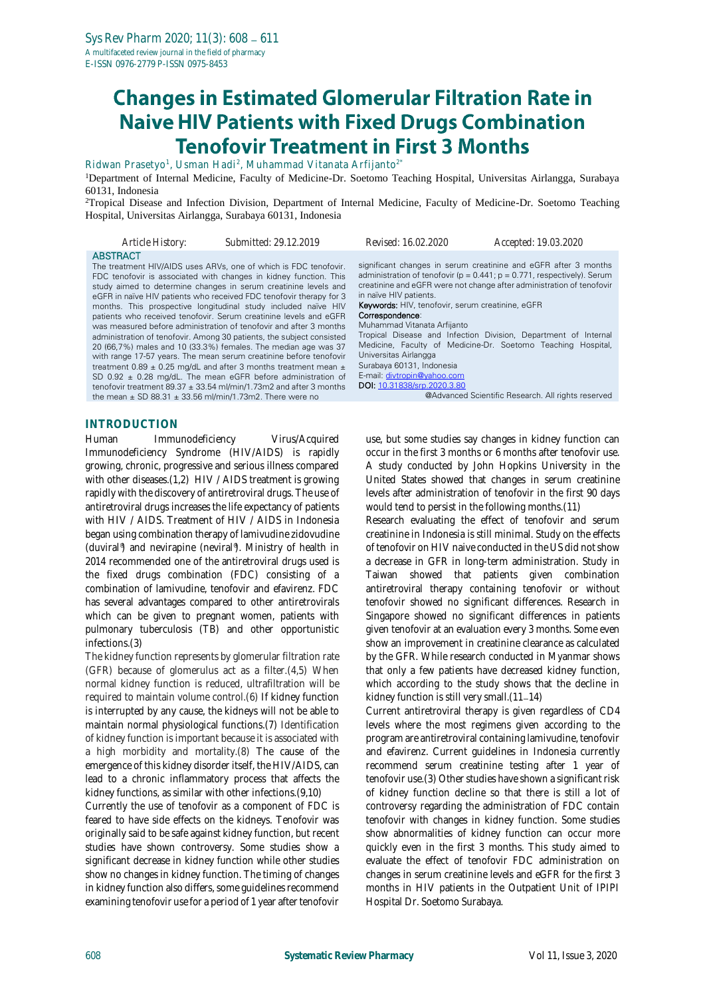# **Changes in Estimated Glomerular Filtration Rate in Naive HIV Patients with Fixed Drugs Combination Tenofovir Treatment in First 3 Months**

Ridwan Prasetyo<sup>1</sup>, Usman Hadi<sup>2</sup>, Muhammad Vitanata Arfijanto<sup>2\*</sup>

<sup>1</sup>Department of Internal Medicine, Faculty of Medicine-Dr. Soetomo Teaching Hospital, Universitas Airlangga, Surabaya 60131, Indonesia

<sup>2</sup>Tropical Disease and Infection Division, Department of Internal Medicine, Faculty of Medicine-Dr. Soetomo Teaching Hospital, Universitas Airlangga, Surabaya 60131, Indonesia

#### *Article History: Submitted: 29.12.2019 Revised: 16.02.2020 Accepted: 19.03.2020* **ABSTRACT** The treatment HIV/AIDS uses ARVs, one of which is FDC tenofovir. FDC tenofovir is associated with changes in kidney function. This study aimed to determine changes in serum creatinine levels and eGFR in naïve HIV patients who received FDC tenofovir therapy for 3 months. This prospective longitudinal study included naïve HIV patients who received tenofovir. Serum creatinine levels and eGFR was measured before administration of tenofovir and after 3 months administration of tenofovir. Among 30 patients, the subject consisted significant changes in serum creatinine and eGFR after 3 months administration of tenofovir ( $p = 0.441$ ;  $p = 0.771$ , respectively). Serum creatinine and eGFR were not change after administration of tenofovir in naïve HIV patients. Keywords: HIV, tenofovir, serum creatinine, eGFR Correspondence: Muhammad Vitanata Arfijanto Tropical Disease and Infection Division, Department of Internal Medicine, Faculty of Medicine-Dr. Soetomo Teaching Hospital,

20 (66,7%) males and 10 (33.3%) females. The median age was 37 with range 17-57 years. The mean serum creatinine before tenofovir treatment  $0.89 \pm 0.25$  mg/dL and after 3 months treatment mean  $\pm$ SD 0.92 ± 0.28 mg/dL. The mean eGFR before administration of tenofovir treatment 89.37 ± 33.54 ml/min/1.73m2 and after 3 months the mean  $\pm$  SD 88.31  $\pm$  33.56 ml/min/1.73m2. There were no

Universitas Airlangga Surabaya 60131, Indonesia E-mail: [divtropin@yahoo.com](mailto:divtropin@yahoo.com) DOI: [10.31838/srp.2020.3.80](http://dx.doi.org/10.5530/srp.2019.2.04) @Advanced Scientific Research. All rights reserved

# **INTRODUCTION**

Human Immunodeficiency Virus/Acquired Immunodeficiency Syndrome (HIV/AIDS) is rapidly growing, chronic, progressive and serious illness compared with other diseases.(1,2) HIV / AIDS treatment is growing rapidly with the discovery of antiretroviral drugs. The use of antiretroviral drugs increases the life expectancy of patients with HIV / AIDS. Treatment of HIV / AIDS in Indonesia began using combination therapy of lamivudine zidovudine (duviral® ) and nevirapine (neviral® ). Ministry of health in 2014 recommended one of the antiretroviral drugs used is the fixed drugs combination (FDC) consisting of a combination of lamivudine, tenofovir and efavirenz. FDC has several advantages compared to other antiretrovirals which can be given to pregnant women, patients with pulmonary tuberculosis (TB) and other opportunistic infections.(3)

The kidney function represents by glomerular filtration rate (GFR) because of glomerulus act as a filter.(4,5) When normal kidney function is reduced, ultrafiltration will be required to maintain volume control.(6) If kidney function is interrupted by any cause, the kidneys will not be able to maintain normal physiological functions.(7) Identification of kidney function is important because it is associated with a high morbidity and mortality.(8) The cause of the emergence of this kidney disorder itself, the HIV/AIDS, can lead to a chronic inflammatory process that affects the kidney functions, as similar with other infections.(9,10)

Currently the use of tenofovir as a component of FDC is feared to have side effects on the kidneys. Tenofovir was originally said to be safe against kidney function, but recent studies have shown controversy. Some studies show a significant decrease in kidney function while other studies show no changes in kidney function. The timing of changes in kidney function also differs, some guidelines recommend examining tenofovir use for a period of 1 year after tenofovir

use, but some studies say changes in kidney function can occur in the first 3 months or 6 months after tenofovir use. A study conducted by John Hopkins University in the United States showed that changes in serum creatinine levels after administration of tenofovir in the first 90 days would tend to persist in the following months.(11)

Research evaluating the effect of tenofovir and serum creatinine in Indonesia is still minimal. Study on the effects of tenofovir on HIV naive conducted in the US did not show a decrease in GFR in long-term administration. Study in Taiwan showed that patients given combination antiretroviral therapy containing tenofovir or without tenofovir showed no significant differences. Research in Singapore showed no significant differences in patients given tenofovir at an evaluation every 3 months. Some even show an improvement in creatinine clearance as calculated by the GFR. While research conducted in Myanmar shows that only a few patients have decreased kidney function, which according to the study shows that the decline in kidney function is still very small.(11-14)

Current antiretroviral therapy is given regardless of CD4 levels where the most regimens given according to the program are antiretroviral containing lamivudine, tenofovir and efavirenz. Current guidelines in Indonesia currently recommend serum creatinine testing after 1 year of tenofovir use.(3) Other studies have shown a significant risk of kidney function decline so that there is still a lot of controversy regarding the administration of FDC contain tenofovir with changes in kidney function. Some studies show abnormalities of kidney function can occur more quickly even in the first 3 months. This study aimed to evaluate the effect of tenofovir FDC administration on changes in serum creatinine levels and eGFR for the first 3 months in HIV patients in the Outpatient Unit of IPIPI Hospital Dr. Soetomo Surabaya.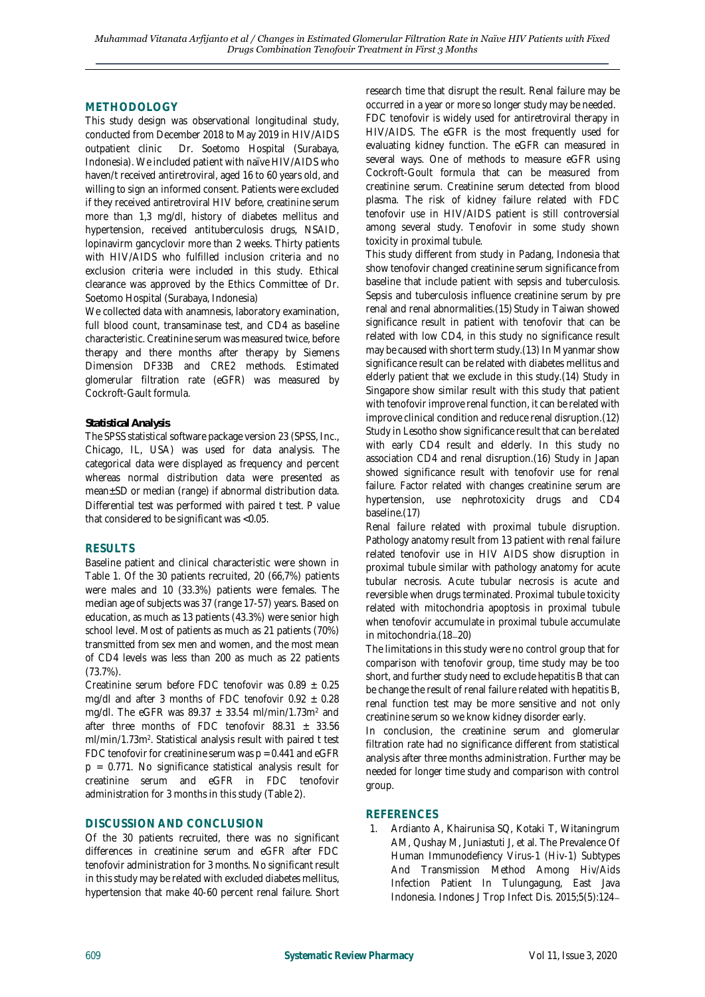# **METHODOLOGY**

This study design was observational longitudinal study, conducted from December 2018 to May 2019 in HIV/AIDS outpatient clinic Dr. Soetomo Hospital (Surabaya, Indonesia). We included patient with naïve HIV/AIDS who haven/t received antiretroviral, aged 16 to 60 years old, and willing to sign an informed consent. Patients were excluded if they received antiretroviral HIV before, creatinine serum more than 1,3 mg/dl, history of diabetes mellitus and hypertension, received antituberculosis drugs, NSAID, lopinavirm gancyclovir more than 2 weeks. Thirty patients with HIV/AIDS who fulfilled inclusion criteria and no exclusion criteria were included in this study. Ethical clearance was approved by the Ethics Committee of Dr. Soetomo Hospital (Surabaya, Indonesia)

We collected data with anamnesis, laboratory examination, full blood count, transaminase test, and CD4 as baseline characteristic. Creatinine serum was measured twice, before therapy and there months after therapy by Siemens Dimension DF33B and CRE2 methods. Estimated glomerular filtration rate (eGFR) was measured by Cockroft-Gault formula.

#### *Statistical Analysis*

The SPSS statistical software package version 23 (SPSS, Inc., Chicago, IL, USA) was used for data analysis. The categorical data were displayed as frequency and percent whereas normal distribution data were presented as mean±SD or median (range) if abnormal distribution data. Differential test was performed with paired t test. *P* value that considered to be significant was <0.05.

# **RESULTS**

Baseline patient and clinical characteristic were shown in Table 1. Of the 30 patients recruited, 20 (66,7%) patients were males and 10 (33.3%) patients were females. The median age of subjects was 37 (range 17-57) years. Based on education, as much as 13 patients (43.3%) were senior high school level. Most of patients as much as 21 patients (70%) transmitted from sex men and women, and the most mean of CD4 levels was less than 200 as much as 22 patients (73.7%).

Creatinine serum before FDC tenofovir was  $0.89 \pm 0.25$ mg/dl and after 3 months of FDC tenofovir  $0.92 \pm 0.28$ mg/dl. The eGFR was  $89.37 \pm 33.54$  ml/min/1.73m<sup>2</sup> and after three months of FDC tenofovir  $88.31 \pm 33.56$ ml/min/1.73m<sup>2</sup>. Statistical analysis result with paired t test FDC tenofovir for creatinine serum was  $p = 0.441$  and eGFR  $p = 0.771$ . No significance statistical analysis result for creatinine serum and eGFR in FDC tenofovir administration for 3 months in this study (Table 2).

# **DISCUSSION AND CONCLUSION**

Of the 30 patients recruited, there was no significant differences in creatinine serum and eGFR after FDC tenofovir administration for 3 months. No significant result in this study may be related with excluded diabetes mellitus, hypertension that make 40-60 percent renal failure. Short research time that disrupt the result. Renal failure may be occurred in a year or more so longer study may be needed.

FDC tenofovir is widely used for antiretroviral therapy in HIV/AIDS. The eGFR is the most frequently used for evaluating kidney function. The eGFR can measured in several ways. One of methods to measure eGFR using Cockroft-Goult formula that can be measured from creatinine serum. Creatinine serum detected from blood plasma. The risk of kidney failure related with FDC tenofovir use in HIV/AIDS patient is still controversial among several study. Tenofovir in some study shown toxicity in proximal tubule.

This study different from study in Padang, Indonesia that show tenofovir changed creatinine serum significance from baseline that include patient with sepsis and tuberculosis. Sepsis and tuberculosis influence creatinine serum by pre renal and renal abnormalities.(15) Study in Taiwan showed significance result in patient with tenofovir that can be related with low CD4, in this study no significance result may be caused with short term study.(13) In Myanmar show significance result can be related with diabetes mellitus and elderly patient that we exclude in this study.(14) Study in Singapore show similar result with this study that patient with tenofovir improve renal function, it can be related with improve clinical condition and reduce renal disruption.(12) Study in Lesotho show significance result that can be related with early CD4 result and elderly. In this study no association CD4 and renal disruption.(16) Study in Japan showed significance result with tenofovir use for renal failure. Factor related with changes creatinine serum are hypertension, use nephrotoxicity drugs and CD4 baseline.(17)

Renal failure related with proximal tubule disruption. Pathology anatomy result from 13 patient with renal failure related tenofovir use in HIV AIDS show disruption in proximal tubule similar with pathology anatomy for acute tubular necrosis. Acute tubular necrosis is acute and reversible when drugs terminated. Proximal tubule toxicity related with mitochondria apoptosis in proximal tubule when tenofovir accumulate in proximal tubule accumulate in mitochondria.(18-20)

The limitations in this study were no control group that for comparison with tenofovir group, time study may be too short, and further study need to exclude hepatitis B that can be change the result of renal failure related with hepatitis B, renal function test may be more sensitive and not only creatinine serum so we know kidney disorder early.

In conclusion, the creatinine serum and glomerular filtration rate had no significance different from statistical analysis after three months administration. Further may be needed for longer time study and comparison with control group.

### **REFERENCES**

1. Ardianto A, Khairunisa SQ, Kotaki T, Witaningrum AM, Qushay M, Juniastuti J, et al. The Prevalence Of Human Immunodefiency Virus-1 (Hiv-1) Subtypes And Transmission Method Among Hiv/Aids Infection Patient In Tulungagung, East Java Indonesia. Indones J Trop Infect Dis. 2015;5(5):124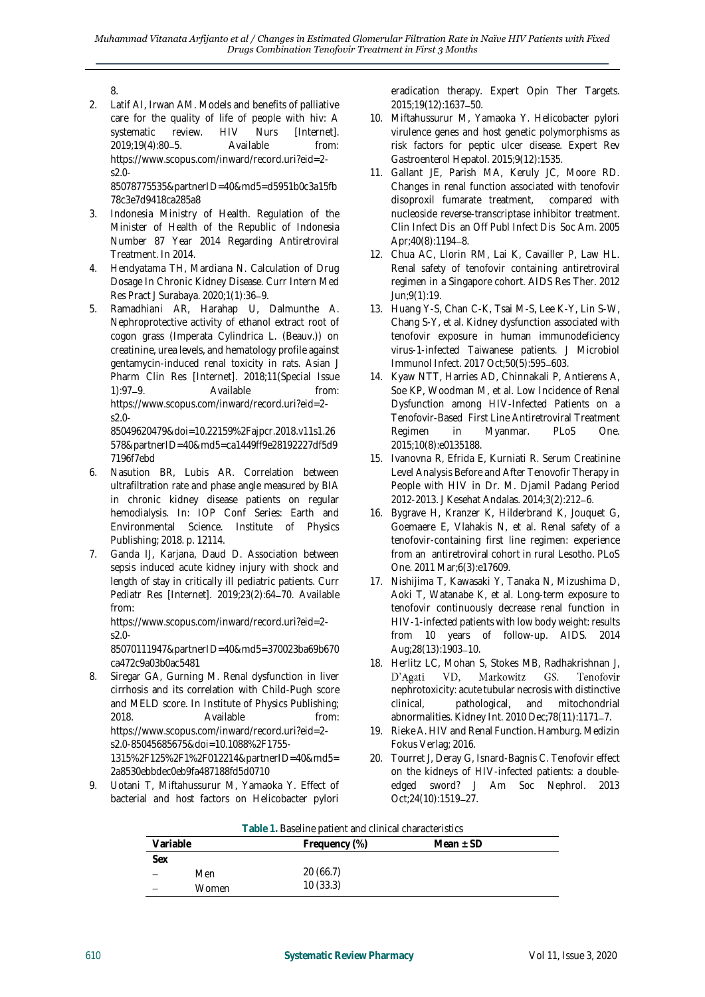2. Latif AI, Irwan AM. Models and benefits of palliative care for the quality of life of people with hiv: A systematic review. HIV Nurs [Internet]. 2019:19(4):80–5. Available from: https://www.scopus.com/inward/record.uri?eid=2 s2.0-

85078775535&partnerID=40&md5=d5951b0c3a15fb 78c3e7d9418ca285a8

- 3. Indonesia Ministry of Health. Regulation of the Minister of Health of the Republic of Indonesia Number 87 Year 2014 Regarding Antiretroviral Treatment. In 2014.
- 4. Hendyatama TH, Mardiana N. Calculation of Drug Dosage In Chronic Kidney Disease. Curr Intern Med Res Pract J Surabaya. 2020;1(1):36-9.
- 5. Ramadhiani AR, Harahap U, Dalmunthe A. Nephroprotective activity of ethanol extract root of cogon grass (Imperata Cylindrica L. (Beauv.)) on creatinine, urea levels, and hematology profile against gentamycin-induced renal toxicity in rats. Asian J Pharm Clin Res [Internet]. 2018;11(Special Issue 1):97-9. Available from: https://www.scopus.com/inward/record.uri?eid=2 s2.0-

85049620479&doi=10.22159%2Fajpcr.2018.v11s1.26 578&partnerID=40&md5=ca1449ff9e28192227df5d9 7196f7ebd

- 6. Nasution BR, Lubis AR. Correlation between ultrafiltration rate and phase angle measured by BIA in chronic kidney disease patients on regular hemodialysis. In: IOP Conf Series: Earth and Environmental Science. Institute of Physics Publishing; 2018. p. 12114.
- 7. Ganda IJ, Karjana, Daud D. Association between sepsis induced acute kidney injury with shock and length of stay in critically ill pediatric patients. Curr Pediatr Res [Internet]. 2019;23(2):64-70. Available from:

https://www.scopus.com/inward/record.uri?eid=2 s2.0-

85070111947&partnerID=40&md5=370023ba69b670 ca472c9a03b0ac5481

- 8. Siregar GA, Gurning M. Renal dysfunction in liver cirrhosis and its correlation with Child-Pugh score and MELD score. In Institute of Physics Publishing; 2018. Available from: https://www.scopus.com/inward/record.uri?eid=2 s2.0-85045685675&doi=10.1088%2F1755- 1315%2F125%2F1%2F012214&partnerID=40&md5= 2a8530ebbdec0eb9fa487188fd5d0710
- 9. Uotani T, Miftahussurur M, Yamaoka Y. Effect of bacterial and host factors on Helicobacter pylori

eradication therapy. Expert Opin Ther Targets. 2015;19(12):1637-50.

- 10. Miftahussurur M, Yamaoka Y. Helicobacter pylori virulence genes and host genetic polymorphisms as risk factors for peptic ulcer disease. Expert Rev Gastroenterol Hepatol. 2015;9(12):1535.
- 11. Gallant JE, Parish MA, Keruly JC, Moore RD. Changes in renal function associated with tenofovir disoproxil fumarate treatment, compared with nucleoside reverse-transcriptase inhibitor treatment. Clin Infect Dis an Off Publ Infect Dis Soc Am. 2005 Apr;40(8):1194-8.
- 12. Chua AC, Llorin RM, Lai K, Cavailler P, Law HL. Renal safety of tenofovir containing antiretroviral regimen in a Singapore cohort. AIDS Res Ther. 2012 Jun;9(1):19.
- 13. Huang Y-S, Chan C-K, Tsai M-S, Lee K-Y, Lin S-W, Chang S-Y, et al. Kidney dysfunction associated with tenofovir exposure in human immunodeficiency virus-1-infected Taiwanese patients. J Microbiol Immunol Infect. 2017 Oct;50(5):595-603.
- 14. Kyaw NTT, Harries AD, Chinnakali P, Antierens A, Soe KP, Woodman M, et al. Low Incidence of Renal Dysfunction among HIV-Infected Patients on a Tenofovir-Based First Line Antiretroviral Treatment Regimen in Myanmar. PLoS One. 2015;10(8):e0135188.
- 15. Ivanovna R, Efrida E, Kurniati R. Serum Creatinine Level Analysis Before and After Tenovofir Therapy in People with HIV in Dr. M. Djamil Padang Period 2012-2013. J Kesehat Andalas. 2014;3(2):212 6.
- 16. Bygrave H, Kranzer K, Hilderbrand K, Jouquet G, Goemaere E, Vlahakis N, et al. Renal safety of a tenofovir-containing first line regimen: experience from an antiretroviral cohort in rural Lesotho. PLoS One. 2011 Mar;6(3):e17609.
- 17. Nishijima T, Kawasaki Y, Tanaka N, Mizushima D, Aoki T, Watanabe K, et al. Long-term exposure to tenofovir continuously decrease renal function in HIV-1-infected patients with low body weight: results from 10 years of follow-up. AIDS. 2014 Aug;28(13):1903-10.
- 18. Herlitz LC, Mohan S, Stokes MB, Radhakrishnan J, D'Agati VD, Markowitz GS. Tenofovir nephrotoxicity: acute tubular necrosis with distinctive clinical, pathological, and mitochondrial abnormalities. Kidney Int. 2010 Dec; 78(11): 1171-7.
- 19. Rieke A. HIV and Renal Function. Hamburg. Medizin Fokus Verlag; 2016.
- 20. Tourret J, Deray G, Isnard-Bagnis C. Tenofovir effect on the kidneys of HIV-infected patients: a doubleedged sword? J Am Soc Nephrol. 2013 Oct;24(10):1519-27.

| Table 1. Baseline patient and clinical characteristics |       |               |             |  |  |  |
|--------------------------------------------------------|-------|---------------|-------------|--|--|--|
| Variable                                               |       | Frequency (%) | Mean $+$ SD |  |  |  |
| Sex                                                    |       |               |             |  |  |  |
|                                                        | Men   | 20(66.7)      |             |  |  |  |
|                                                        | Women | 10(33.3)      |             |  |  |  |

<sup>8.</sup>